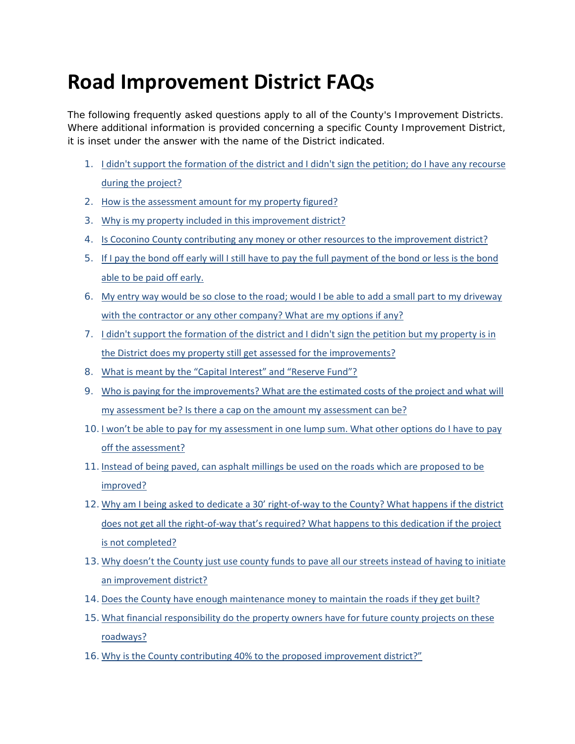# **Road Improvement District FAQs**

The following frequently asked questions apply to all of the County's Improvement Districts. Where additional information is provided concerning a specific County Improvement District, it is inset under the answer with the name of the District indicated.

- 1. I didn't support the formation of the district and I didn't sign the petition; do I have any recourse during the project?
- 2. How is the assessment amount for my property figured?
- 3. Why is my property included in this improvement district?
- 4. Is Coconino County contributing any money or other resources to the improvement district?
- 5. If I pay the bond off early will I still have to pay the full payment of the bond or less is the bond able to be paid off early.
- 6. My entry way would be so close to the road; would I be able to add a small part to my driveway with the contractor or any other company? What are my options if any?
- 7. I didn't support the formation of the district and I didn't sign the petition but my property is in the District does my property still get assessed for the improvements?
- 8. What is meant by the "Capital Interest" and "Reserve Fund"?
- 9. Who is paying for the improvements? What are the estimated costs of the project and what will my assessment be? Is there a cap on the amount my assessment can be?
- 10.I won't be able to pay for my assessment in one lump sum. What other options do I have to pay off the assessment?
- 11.Instead of being paved, can asphalt millings be used on the roads which are proposed to be improved?
- 12. Why am I being asked to dedicate a 30' right-of-way to the County? What happens if the district does not get all the right‐of‐way that's required? What happens to this dedication if the project is not completed?
- 13.Why doesn't the County just use county funds to pave all our streets instead of having to initiate an improvement district?
- 14.Does the County have enough maintenance money to maintain the roads if they get built?
- 15.What financial responsibility do the property owners have for future county projects on these roadways?
- 16.Why is the County contributing 40% to the proposed improvement district?"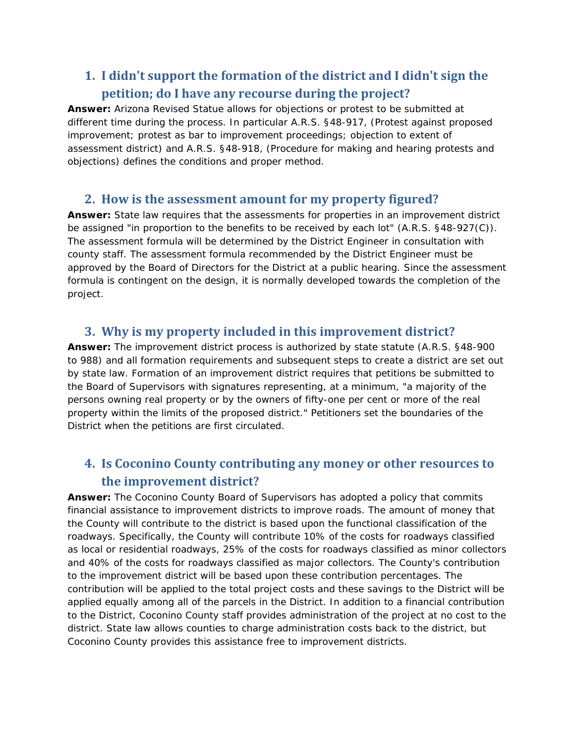## **1. I didn't support the formation of the district and I didn't sign the petition; do I have any recourse during the project?**

**Answer:** Arizona Revised Statue allows for objections or protest to be submitted at different time during the process. In particular A.R.S. §48-917, (Protest against proposed improvement; protest as bar to improvement proceedings; objection to extent of assessment district) and A.R.S. §48-918, (Procedure for making and hearing protests and objections) defines the conditions and proper method.

#### **2. How is the assessment amount for my property figured?**

**Answer:** State law requires that the assessments for properties in an improvement district be assigned "in proportion to the benefits to be received by each lot" (A.R.S. §48-927(C)). The assessment formula will be determined by the District Engineer in consultation with county staff. The assessment formula recommended by the District Engineer must be approved by the Board of Directors for the District at a public hearing. Since the assessment formula is contingent on the design, it is normally developed towards the completion of the project.

#### **3. Why is my property included in this improvement district?**

**Answer:** The improvement district process is authorized by state statute (A.R.S. §48-900 to 988) and all formation requirements and subsequent steps to create a district are set out by state law. Formation of an improvement district requires that petitions be submitted to the Board of Supervisors with signatures representing, at a minimum, "a majority of the persons owning real property or by the owners of fifty-one per cent or more of the real property within the limits of the proposed district." Petitioners set the boundaries of the District when the petitions are first circulated.

## **4. Is Coconino County contributing any money or other resources to the improvement district?**

**Answer:** The Coconino County Board of Supervisors has adopted a policy that commits financial assistance to improvement districts to improve roads. The amount of money that the County will contribute to the district is based upon the functional classification of the roadways. Specifically, the County will contribute 10% of the costs for roadways classified as local or residential roadways, 25% of the costs for roadways classified as minor collectors and 40% of the costs for roadways classified as major collectors. The County's contribution to the improvement district will be based upon these contribution percentages. The contribution will be applied to the total project costs and these savings to the District will be applied equally among all of the parcels in the District. In addition to a financial contribution to the District, Coconino County staff provides administration of the project at no cost to the district. State law allows counties to charge administration costs back to the district, but Coconino County provides this assistance free to improvement districts.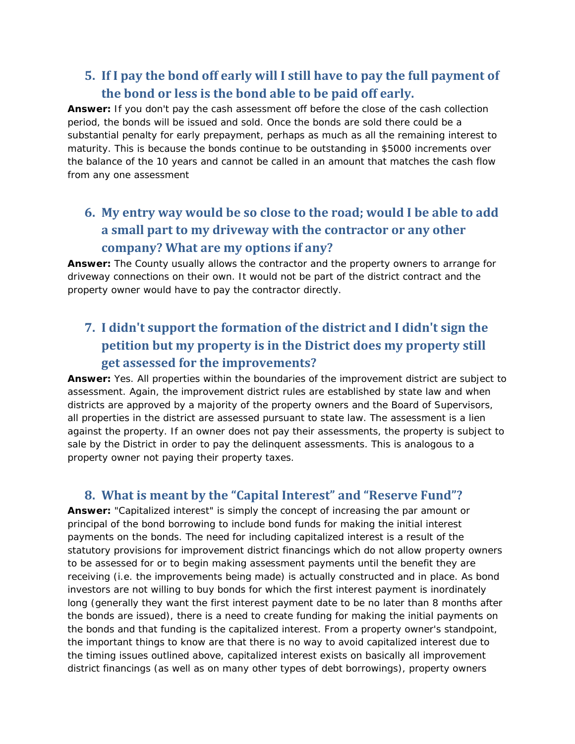#### **5. If I pay the bond off early will I still have to pay the full payment of the bond or less is the bond able to be paid off early.**

**Answer:** If you don't pay the cash assessment off before the close of the cash collection period, the bonds will be issued and sold. Once the bonds are sold there could be a substantial penalty for early prepayment, perhaps as much as all the remaining interest to maturity. This is because the bonds continue to be outstanding in \$5000 increments over the balance of the 10 years and cannot be called in an amount that matches the cash flow from any one assessment

# **6. My entry way would be so close to the road; would I be able to add a small part to my driveway with the contractor or any other company? What are my options if any?**

**Answer:** The County usually allows the contractor and the property owners to arrange for driveway connections on their own. It would not be part of the district contract and the property owner would have to pay the contractor directly.

# **7. I didn't support the formation of the district and I didn't sign the petition but my property is in the District does my property still get assessed for the improvements?**

**Answer:** Yes. All properties within the boundaries of the improvement district are subject to assessment. Again, the improvement district rules are established by state law and when districts are approved by a majority of the property owners and the Board of Supervisors, all properties in the district are assessed pursuant to state law. The assessment is a lien against the property. If an owner does not pay their assessments, the property is subject to sale by the District in order to pay the delinquent assessments. This is analogous to a property owner not paying their property taxes.

#### **8. What is meant by the "Capital Interest" and "Reserve Fund"?**

**Answer:** "Capitalized interest" is simply the concept of increasing the par amount or principal of the bond borrowing to include bond funds for making the initial interest payments on the bonds. The need for including capitalized interest is a result of the statutory provisions for improvement district financings which do not allow property owners to be assessed for or to begin making assessment payments until the benefit they are receiving (i.e. the improvements being made) is actually constructed and in place. As bond investors are not willing to buy bonds for which the first interest payment is inordinately long (generally they want the first interest payment date to be no later than 8 months after the bonds are issued), there is a need to create funding for making the initial payments on the bonds and that funding is the capitalized interest. From a property owner's standpoint, the important things to know are that there is no way to avoid capitalized interest due to the timing issues outlined above, capitalized interest exists on basically all improvement district financings (as well as on many other types of debt borrowings), property owners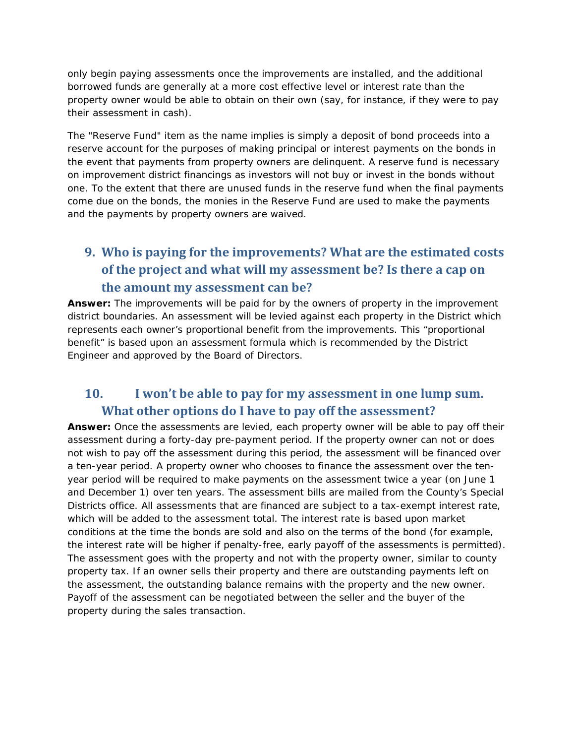only begin paying assessments once the improvements are installed, and the additional borrowed funds are generally at a more cost effective level or interest rate than the property owner would be able to obtain on their own (say, for instance, if they were to pay their assessment in cash).

The "Reserve Fund" item as the name implies is simply a deposit of bond proceeds into a reserve account for the purposes of making principal or interest payments on the bonds in the event that payments from property owners are delinquent. A reserve fund is necessary on improvement district financings as investors will not buy or invest in the bonds without one. To the extent that there are unused funds in the reserve fund when the final payments come due on the bonds, the monies in the Reserve Fund are used to make the payments and the payments by property owners are waived.

# **9. Who is paying for the improvements? What are the estimated costs of the project and what will my assessment be? Is there a cap on the amount my assessment can be?**

**Answer:** The improvements will be paid for by the owners of property in the improvement district boundaries. An assessment will be levied against each property in the District which represents each owner's proportional benefit from the improvements. This "proportional benefit" is based upon an assessment formula which is recommended by the District Engineer and approved by the Board of Directors.

### **10. I won't be able to pay for my assessment in one lump sum. What other options do I have to pay off the assessment?**

**Answer:** Once the assessments are levied, each property owner will be able to pay off their assessment during a forty-day pre-payment period. If the property owner can not or does not wish to pay off the assessment during this period, the assessment will be financed over a ten-year period. A property owner who chooses to finance the assessment over the tenyear period will be required to make payments on the assessment twice a year (on June 1 and December 1) over ten years. The assessment bills are mailed from the County's Special Districts office. All assessments that are financed are subject to a tax-exempt interest rate, which will be added to the assessment total. The interest rate is based upon market conditions at the time the bonds are sold and also on the terms of the bond (for example, the interest rate will be higher if penalty-free, early payoff of the assessments is permitted). The assessment goes with the property and not with the property owner, similar to county property tax. If an owner sells their property and there are outstanding payments left on the assessment, the outstanding balance remains with the property and the new owner. Payoff of the assessment can be negotiated between the seller and the buyer of the property during the sales transaction.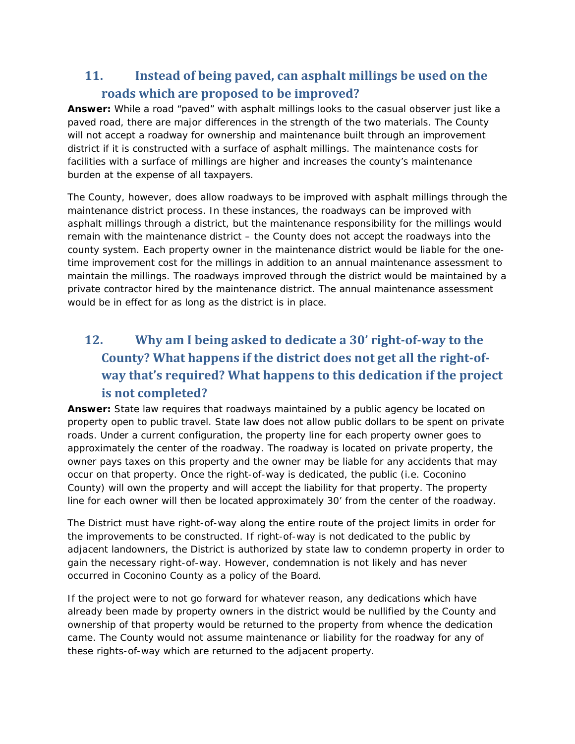## **11. Instead of being paved, can asphalt millings be used on the roads which are proposed to be improved?**

**Answer:** While a road "paved" with asphalt millings looks to the casual observer just like a paved road, there are major differences in the strength of the two materials. The County will not accept a roadway for ownership and maintenance built through an improvement district if it is constructed with a surface of asphalt millings. The maintenance costs for facilities with a surface of millings are higher and increases the county's maintenance burden at the expense of all taxpayers.

The County, however, does allow roadways to be improved with asphalt millings through the maintenance district process. In these instances, the roadways can be improved with asphalt millings through a district, but the maintenance responsibility for the millings would remain with the maintenance district – the County does not accept the roadways into the county system. Each property owner in the maintenance district would be liable for the onetime improvement cost for the millings in addition to an annual maintenance assessment to maintain the millings. The roadways improved through the district would be maintained by a private contractor hired by the maintenance district. The annual maintenance assessment would be in effect for as long as the district is in place.

# **12. Why am I being asked to dedicate a 30' right‐of‐way to the County? What happens if the district does not get all the right‐of‐ way that's required? What happens to this dedication if the project is not completed?**

**Answer:** State law requires that roadways maintained by a public agency be located on property open to public travel. State law does not allow public dollars to be spent on private roads. Under a current configuration, the property line for each property owner goes to approximately the center of the roadway. The roadway is located on private property, the owner pays taxes on this property and the owner may be liable for any accidents that may occur on that property. Once the right-of-way is dedicated, the public (i.e. Coconino County) will own the property and will accept the liability for that property. The property line for each owner will then be located approximately 30' from the center of the roadway.

The District must have right-of-way along the entire route of the project limits in order for the improvements to be constructed. If right-of-way is not dedicated to the public by adjacent landowners, the District is authorized by state law to condemn property in order to gain the necessary right-of-way. However, condemnation is not likely and has never occurred in Coconino County as a policy of the Board.

If the project were to not go forward for whatever reason, any dedications which have already been made by property owners in the district would be nullified by the County and ownership of that property would be returned to the property from whence the dedication came. The County would not assume maintenance or liability for the roadway for any of these rights-of-way which are returned to the adjacent property.